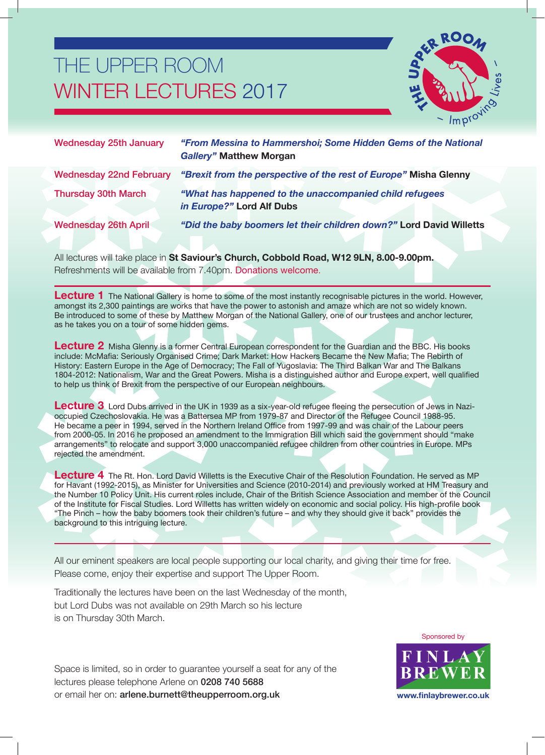## THE UPPER ROOM WINTER LECTURES 2017



| <b>Wednesday 25th January</b>  | "From Messina to Hammershoi; Some Hidden Gems of the National<br><b>Gallery" Matthew Morgan</b> |
|--------------------------------|-------------------------------------------------------------------------------------------------|
| <b>Wednesday 22nd February</b> | "Brexit from the perspective of the rest of Europe" Misha Glenny                                |
| <b>Thursday 30th March</b>     | "What has happened to the unaccompanied child refugees"<br>in Europe?" Lord Alf Dubs            |
| <b>Wednesday 26th April</b>    | "Did the baby boomers let their children down?" Lord David Willetts                             |

All lectures will take place in **St Saviour's Church, Cobbold Road, W12 9LN, 8.00-9.00pm.** Refreshments will be available from 7.40pm. Donations welcome.

Lecture 1 The National Gallery is home to some of the most instantly recognisable pictures in the world. However, amongst its 2,300 paintings are works that have the power to astonish and amaze which are not so widely known. Be introduced to some of these by Matthew Morgan of the National Gallery, one of our trustees and anchor lecturer, as he takes you on a tour of some hidden gems.

**Lecture 2** Misha Glenny is a former Central European correspondent for the Guardian and the BBC. His books include: McMafia: Seriously Organised Crime; Dark Market: How Hackers Became the New Mafia; The Rebirth of History: Eastern Europe in the Age of Democracy; The Fall of Yugoslavia: The Third Balkan War and The Balkans 1804-2012: Nationalism, War and the Great Powers. Misha is a distinguished author and Europe expert, well qualified to help us think of Brexit from the perspective of our European neighbours.

Lecture 3 Lord Dubs arrived in the UK in 1939 as a six-year-old refugee fleeing the persecution of Jews in Nazioccupied Czechoslovakia. He was a Battersea MP from 1979-87 and Director of the Refugee Council 1988-95. He became a peer in 1994, served in the Northern Ireland Office from 1997-99 and was chair of the Labour peers from 2000-05. In 2016 he proposed an amendment to the Immigration Bill which said the government should "make arrangements" to relocate and support 3,000 unaccompanied refugee children from other countries in Europe. MPs rejected the amendment.

**Lecture 4** The Rt. Hon. Lord David Willetts is the Executive Chair of the Resolution Foundation. He served as MP for Havant (1992-2015), as Minister for Universities and Science (2010-2014) and previously worked at HM Treasury and the Number 10 Policy Unit. His current roles include, Chair of the British Science Association and member of the Council of the Institute for Fiscal Studies. Lord Willetts has written widely on economic and social policy. His high-profile book "The Pinch – how the baby boomers took their children's future – and why they should give it back" provides the background to this intriguing lecture.

All our eminent speakers are local people supporting our local charity, and giving their time for free. Please come, enjoy their expertise and support The Upper Room.

Traditionally the lectures have been on the last Wednesday of the month, but Lord Dubs was not available on 29th March so his lecture is on Thursday 30th March.

Space is limited, so in order to guarantee yourself a seat for any of the lectures please telephone Arlene on 0208 740 5688 or email her on: arlene.burnett@theupperroom.org.uk



**www.finlaybrewer.co.uk**